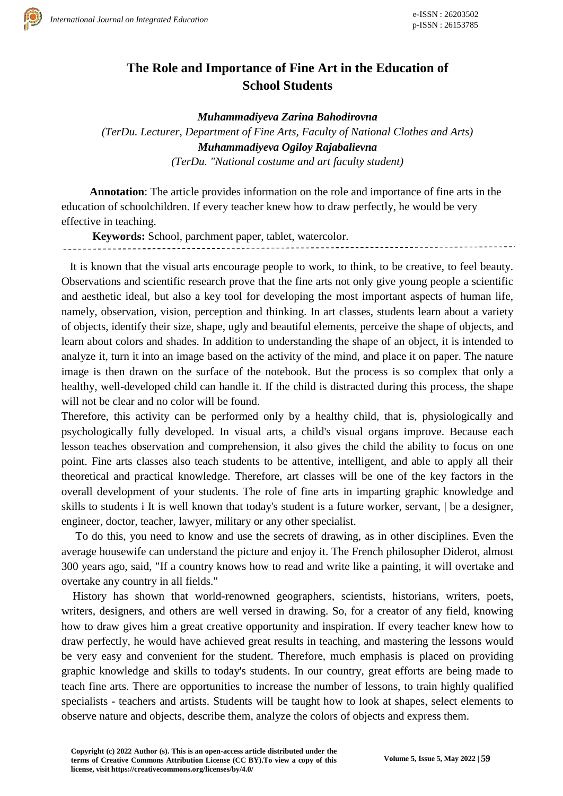

## **The Role and Importance of Fine Art in the Education of School Students**

*Muhammadiyeva Zarina Bahodirovna*

*(TerDu. Lecturer, Department of Fine Arts, Faculty of National Clothes and Arts) Muhammadiyeva Ogiloy Rajabalievna (TerDu. "National costume and art faculty student)*

**Annotation**: The article provides information on the role and importance of fine arts in the education of schoolchildren. If every teacher knew how to draw perfectly, he would be very effective in teaching.

**Keywords:** School, parchment paper, tablet, watercolor.

 It is known that the visual arts encourage people to work, to think, to be creative, to feel beauty. Observations and scientific research prove that the fine arts not only give young people a scientific and aesthetic ideal, but also a key tool for developing the most important aspects of human life, namely, observation, vision, perception and thinking. In art classes, students learn about a variety of objects, identify their size, shape, ugly and beautiful elements, perceive the shape of objects, and learn about colors and shades. In addition to understanding the shape of an object, it is intended to analyze it, turn it into an image based on the activity of the mind, and place it on paper. The nature image is then drawn on the surface of the notebook. But the process is so complex that only a healthy, well-developed child can handle it. If the child is distracted during this process, the shape will not be clear and no color will be found.

Therefore, this activity can be performed only by a healthy child, that is, physiologically and psychologically fully developed. In visual arts, a child's visual organs improve. Because each lesson teaches observation and comprehension, it also gives the child the ability to focus on one point. Fine arts classes also teach students to be attentive, intelligent, and able to apply all their theoretical and practical knowledge. Therefore, art classes will be one of the key factors in the overall development of your students. The role of fine arts in imparting graphic knowledge and skills to students i It is well known that today's student is a future worker, servant, | be a designer, engineer, doctor, teacher, lawyer, military or any other specialist.

 To do this, you need to know and use the secrets of drawing, as in other disciplines. Even the average housewife can understand the picture and enjoy it. The French philosopher Diderot, almost 300 years ago, said, "If a country knows how to read and write like a painting, it will overtake and overtake any country in all fields."

 History has shown that world-renowned geographers, scientists, historians, writers, poets, writers, designers, and others are well versed in drawing. So, for a creator of any field, knowing how to draw gives him a great creative opportunity and inspiration. If every teacher knew how to draw perfectly, he would have achieved great results in teaching, and mastering the lessons would be very easy and convenient for the student. Therefore, much emphasis is placed on providing graphic knowledge and skills to today's students. In our country, great efforts are being made to teach fine arts. There are opportunities to increase the number of lessons, to train highly qualified specialists - teachers and artists. Students will be taught how to look at shapes, select elements to observe nature and objects, describe them, analyze the colors of objects and express them.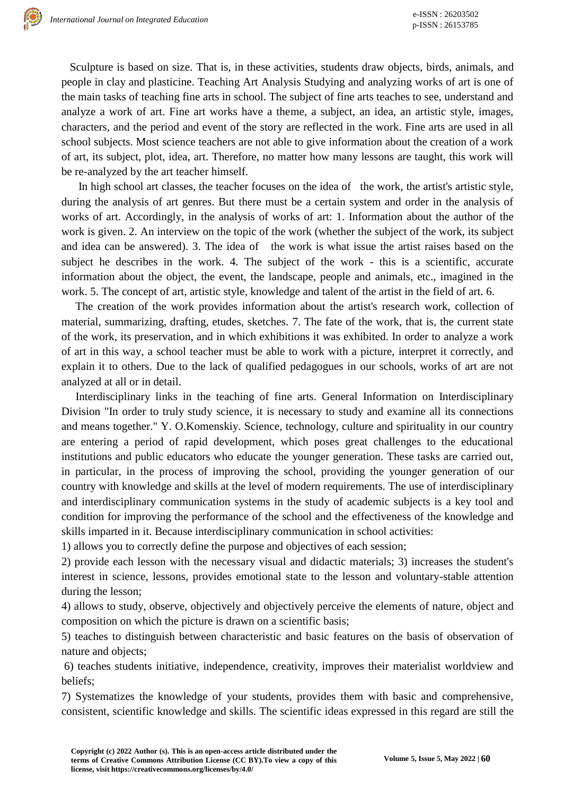Sculpture is based on size. That is, in these activities, students draw objects, birds, animals, and people in clay and plasticine. Teaching Art Analysis Studying and analyzing works of art is one of the main tasks of teaching fine arts in school. The subject of fine arts teaches to see, understand and analyze a work of art. Fine art works have a theme, a subject, an idea, an artistic style, images, characters, and the period and event of the story are reflected in the work. Fine arts are used in all school subjects. Most science teachers are not able to give information about the creation of a work of art, its subject, plot, idea, art. Therefore, no matter how many lessons are taught, this work will be re-analyzed by the art teacher himself.

In high school art classes, the teacher focuses on the idea of the work, the artist's artistic style, during the analysis of art genres. But there must be a certain system and order in the analysis of works of art. Accordingly, in the analysis of works of art: 1. Information about the author of the work is given. 2. An interview on the topic of the work (whether the subject of the work, its subject and idea can be answered). 3. The idea of the work is what issue the artist raises based on the subject he describes in the work. 4. The subject of the work - this is a scientific, accurate information about the object, the event, the landscape, people and animals, etc., imagined in the work. 5. The concept of art, artistic style, knowledge and talent of the artist in the field of art. 6.

 The creation of the work provides information about the artist's research work, collection of material, summarizing, drafting, etudes, sketches. 7. The fate of the work, that is, the current state of the work, its preservation, and in which exhibitions it was exhibited. In order to analyze a work of art in this way, a school teacher must be able to work with a picture, interpret it correctly, and explain it to others. Due to the lack of qualified pedagogues in our schools, works of art are not analyzed at all or in detail.

 Interdisciplinary links in the teaching of fine arts. General Information on Interdisciplinary Division "In order to truly study science, it is necessary to study and examine all its connections and means together." Y. O.Komenskiy. Science, technology, culture and spirituality in our country are entering a period of rapid development, which poses great challenges to the educational institutions and public educators who educate the younger generation. These tasks are carried out, in particular, in the process of improving the school, providing the younger generation of our country with knowledge and skills at the level of modern requirements. The use of interdisciplinary and interdisciplinary communication systems in the study of academic subjects is a key tool and condition for improving the performance of the school and the effectiveness of the knowledge and skills imparted in it. Because interdisciplinary communication in school activities:

1) allows you to correctly define the purpose and objectives of each session;

2) provide each lesson with the necessary visual and didactic materials; 3) increases the student's interest in science, lessons, provides emotional state to the lesson and voluntary-stable attention during the lesson;

4) allows to study, observe, objectively and objectively perceive the elements of nature, object and composition on which the picture is drawn on a scientific basis;

5) teaches to distinguish between characteristic and basic features on the basis of observation of nature and objects;

6) teaches students initiative, independence, creativity, improves their materialist worldview and beliefs;

7) Systematizes the knowledge of your students, provides them with basic and comprehensive, consistent, scientific knowledge and skills. The scientific ideas expressed in this regard are still the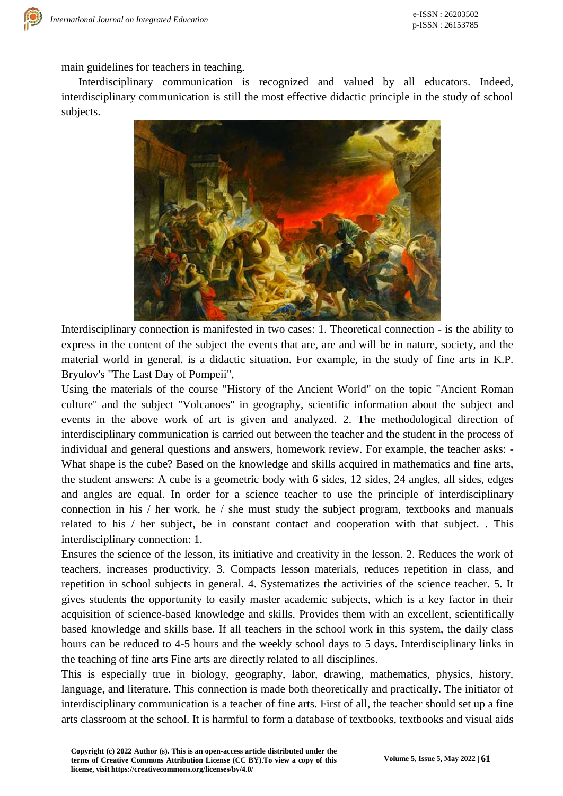main guidelines for teachers in teaching.

 Interdisciplinary communication is recognized and valued by all educators. Indeed, interdisciplinary communication is still the most effective didactic principle in the study of school subjects.



Interdisciplinary connection is manifested in two cases: 1. Theoretical connection - is the ability to express in the content of the subject the events that are, are and will be in nature, society, and the material world in general. is a didactic situation. For example, in the study of fine arts in K.P. Bryulov's "The Last Day of Pompeii",

Using the materials of the course "History of the Ancient World" on the topic "Ancient Roman culture" and the subject "Volcanoes" in geography, scientific information about the subject and events in the above work of art is given and analyzed. 2. The methodological direction of interdisciplinary communication is carried out between the teacher and the student in the process of individual and general questions and answers, homework review. For example, the teacher asks: - What shape is the cube? Based on the knowledge and skills acquired in mathematics and fine arts, the student answers: A cube is a geometric body with 6 sides, 12 sides, 24 angles, all sides, edges and angles are equal. In order for a science teacher to use the principle of interdisciplinary connection in his / her work, he / she must study the subject program, textbooks and manuals related to his / her subject, be in constant contact and cooperation with that subject. . This interdisciplinary connection: 1.

Ensures the science of the lesson, its initiative and creativity in the lesson. 2. Reduces the work of teachers, increases productivity. 3. Compacts lesson materials, reduces repetition in class, and repetition in school subjects in general. 4. Systematizes the activities of the science teacher. 5. It gives students the opportunity to easily master academic subjects, which is a key factor in their acquisition of science-based knowledge and skills. Provides them with an excellent, scientifically based knowledge and skills base. If all teachers in the school work in this system, the daily class hours can be reduced to 4-5 hours and the weekly school days to 5 days. Interdisciplinary links in the teaching of fine arts Fine arts are directly related to all disciplines.

This is especially true in biology, geography, labor, drawing, mathematics, physics, history, language, and literature. This connection is made both theoretically and practically. The initiator of interdisciplinary communication is a teacher of fine arts. First of all, the teacher should set up a fine arts classroom at the school. It is harmful to form a database of textbooks, textbooks and visual aids